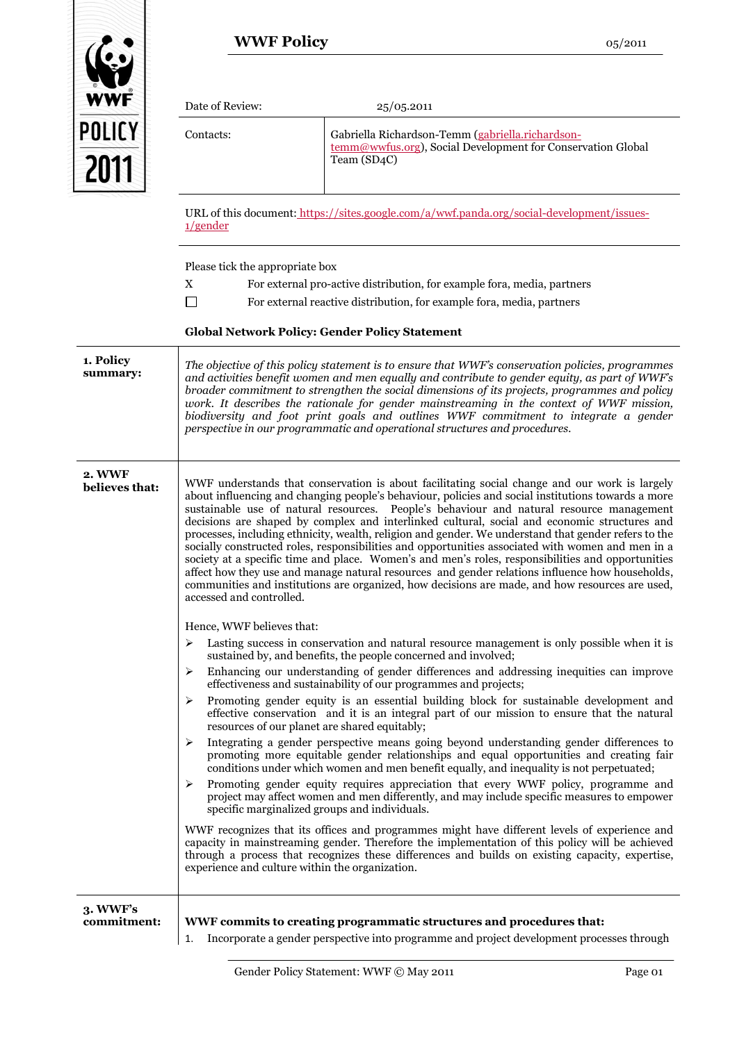|                          | <b>WWF Policy</b>                                                                                                                                                                                                                                                                                                                                                                                                                                                                                                                                                                                                                                                                                                                                                                                                                                                                                                                                   |                                                                                                                                                                                                                                                                                                                                                                                                                                                                                                                                                                                                                                                                   | 05/2011 |
|--------------------------|-----------------------------------------------------------------------------------------------------------------------------------------------------------------------------------------------------------------------------------------------------------------------------------------------------------------------------------------------------------------------------------------------------------------------------------------------------------------------------------------------------------------------------------------------------------------------------------------------------------------------------------------------------------------------------------------------------------------------------------------------------------------------------------------------------------------------------------------------------------------------------------------------------------------------------------------------------|-------------------------------------------------------------------------------------------------------------------------------------------------------------------------------------------------------------------------------------------------------------------------------------------------------------------------------------------------------------------------------------------------------------------------------------------------------------------------------------------------------------------------------------------------------------------------------------------------------------------------------------------------------------------|---------|
| WWF                      | Date of Review:                                                                                                                                                                                                                                                                                                                                                                                                                                                                                                                                                                                                                                                                                                                                                                                                                                                                                                                                     | 25/05.2011                                                                                                                                                                                                                                                                                                                                                                                                                                                                                                                                                                                                                                                        |         |
| <b>POLICY</b><br>2011    | Contacts:                                                                                                                                                                                                                                                                                                                                                                                                                                                                                                                                                                                                                                                                                                                                                                                                                                                                                                                                           | Gabriella Richardson-Temm (gabriella.richardson-<br>temm@wwfus.org), Social Development for Conservation Global<br>Team (SD4C)                                                                                                                                                                                                                                                                                                                                                                                                                                                                                                                                    |         |
|                          | $1$ /gender                                                                                                                                                                                                                                                                                                                                                                                                                                                                                                                                                                                                                                                                                                                                                                                                                                                                                                                                         | URL of this document: https://sites.google.com/a/wwf.panda.org/social-development/issues-                                                                                                                                                                                                                                                                                                                                                                                                                                                                                                                                                                         |         |
|                          | Please tick the appropriate box<br>X                                                                                                                                                                                                                                                                                                                                                                                                                                                                                                                                                                                                                                                                                                                                                                                                                                                                                                                | For external pro-active distribution, for example fora, media, partners<br>For external reactive distribution, for example fora, media, partners<br><b>Global Network Policy: Gender Policy Statement</b>                                                                                                                                                                                                                                                                                                                                                                                                                                                         |         |
| 1. Policy<br>summary:    |                                                                                                                                                                                                                                                                                                                                                                                                                                                                                                                                                                                                                                                                                                                                                                                                                                                                                                                                                     | The objective of this policy statement is to ensure that WWF's conservation policies, programmes<br>and activities benefit women and men equally and contribute to gender equity, as part of WWF's<br>broader commitment to strengthen the social dimensions of its projects, programmes and policy<br>work. It describes the rationale for gender mainstreaming in the context of WWF mission,<br>biodiversity and foot print goals and outlines WWF commitment to integrate a gender<br>perspective in our programmatic and operational structures and procedures.                                                                                              |         |
| 2. WWF<br>believes that: | WWF understands that conservation is about facilitating social change and our work is largely<br>about influencing and changing people's behaviour, policies and social institutions towards a more<br>sustainable use of natural resources. People's behaviour and natural resource management<br>decisions are shaped by complex and interlinked cultural, social and economic structures and<br>processes, including ethnicity, wealth, religion and gender. We understand that gender refers to the<br>socially constructed roles, responsibilities and opportunities associated with women and men in a<br>society at a specific time and place. Women's and men's roles, responsibilities and opportunities<br>affect how they use and manage natural resources and gender relations influence how households,<br>communities and institutions are organized, how decisions are made, and how resources are used,<br>accessed and controlled. |                                                                                                                                                                                                                                                                                                                                                                                                                                                                                                                                                                                                                                                                   |         |
|                          | Hence, WWF believes that:<br>➤<br>➤<br>➤<br>➤                                                                                                                                                                                                                                                                                                                                                                                                                                                                                                                                                                                                                                                                                                                                                                                                                                                                                                       | Lasting success in conservation and natural resource management is only possible when it is<br>sustained by, and benefits, the people concerned and involved;<br>Enhancing our understanding of gender differences and addressing inequities can improve<br>effectiveness and sustainability of our programmes and projects;<br>Promoting gender equity is an essential building block for sustainable development and<br>effective conservation and it is an integral part of our mission to ensure that the natural<br>resources of our planet are shared equitably;<br>Integrating a gender perspective means going beyond understanding gender differences to |         |
|                          | ≻                                                                                                                                                                                                                                                                                                                                                                                                                                                                                                                                                                                                                                                                                                                                                                                                                                                                                                                                                   | promoting more equitable gender relationships and equal opportunities and creating fair<br>conditions under which women and men benefit equally, and inequality is not perpetuated;<br>Promoting gender equity requires appreciation that every WWF policy, programme and<br>project may affect women and men differently, and may include specific measures to empower<br>specific marginalized groups and individuals.                                                                                                                                                                                                                                          |         |
|                          | experience and culture within the organization.                                                                                                                                                                                                                                                                                                                                                                                                                                                                                                                                                                                                                                                                                                                                                                                                                                                                                                     | WWF recognizes that its offices and programmes might have different levels of experience and<br>capacity in mainstreaming gender. Therefore the implementation of this policy will be achieved<br>through a process that recognizes these differences and builds on existing capacity, expertise,                                                                                                                                                                                                                                                                                                                                                                 |         |
| 3. WWF's<br>commitment:  | 1.                                                                                                                                                                                                                                                                                                                                                                                                                                                                                                                                                                                                                                                                                                                                                                                                                                                                                                                                                  | WWF commits to creating programmatic structures and procedures that:<br>Incorporate a gender perspective into programme and project development processes through                                                                                                                                                                                                                                                                                                                                                                                                                                                                                                 |         |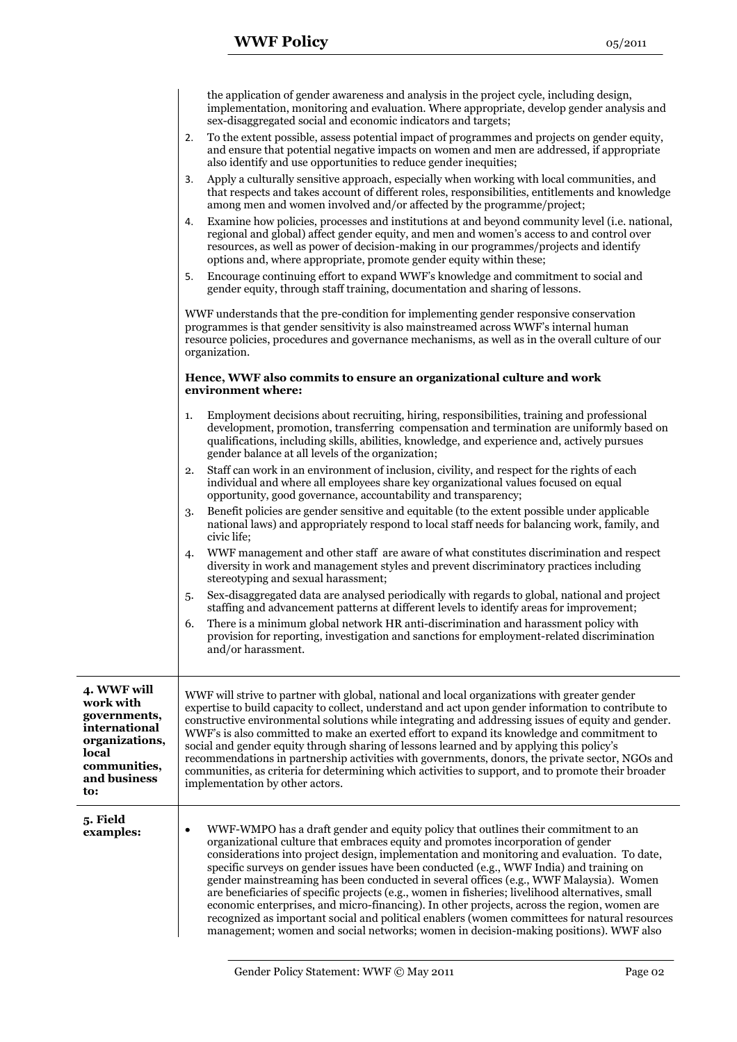|                                                                                                                             | the application of gender awareness and analysis in the project cycle, including design,<br>implementation, monitoring and evaluation. Where appropriate, develop gender analysis and<br>sex-disaggregated social and economic indicators and targets;                                                                                                                                                                                                                                                                                                                                                                                                                                                                                                                                                                                                             |  |
|-----------------------------------------------------------------------------------------------------------------------------|--------------------------------------------------------------------------------------------------------------------------------------------------------------------------------------------------------------------------------------------------------------------------------------------------------------------------------------------------------------------------------------------------------------------------------------------------------------------------------------------------------------------------------------------------------------------------------------------------------------------------------------------------------------------------------------------------------------------------------------------------------------------------------------------------------------------------------------------------------------------|--|
|                                                                                                                             | To the extent possible, assess potential impact of programmes and projects on gender equity,<br>2.<br>and ensure that potential negative impacts on women and men are addressed, if appropriate<br>also identify and use opportunities to reduce gender inequities;                                                                                                                                                                                                                                                                                                                                                                                                                                                                                                                                                                                                |  |
|                                                                                                                             | Apply a culturally sensitive approach, especially when working with local communities, and<br>3.<br>that respects and takes account of different roles, responsibilities, entitlements and knowledge<br>among men and women involved and/or affected by the programme/project;                                                                                                                                                                                                                                                                                                                                                                                                                                                                                                                                                                                     |  |
|                                                                                                                             | Examine how policies, processes and institutions at and beyond community level (i.e. national,<br>4.<br>regional and global) affect gender equity, and men and women's access to and control over<br>resources, as well as power of decision-making in our programmes/projects and identify<br>options and, where appropriate, promote gender equity within these;                                                                                                                                                                                                                                                                                                                                                                                                                                                                                                 |  |
|                                                                                                                             | Encourage continuing effort to expand WWF's knowledge and commitment to social and<br>5.<br>gender equity, through staff training, documentation and sharing of lessons.                                                                                                                                                                                                                                                                                                                                                                                                                                                                                                                                                                                                                                                                                           |  |
|                                                                                                                             | WWF understands that the pre-condition for implementing gender responsive conservation<br>programmes is that gender sensitivity is also mainstreamed across WWF's internal human<br>resource policies, procedures and governance mechanisms, as well as in the overall culture of our<br>organization.                                                                                                                                                                                                                                                                                                                                                                                                                                                                                                                                                             |  |
|                                                                                                                             | Hence, WWF also commits to ensure an organizational culture and work<br>environment where:                                                                                                                                                                                                                                                                                                                                                                                                                                                                                                                                                                                                                                                                                                                                                                         |  |
|                                                                                                                             | Employment decisions about recruiting, hiring, responsibilities, training and professional<br>1.<br>development, promotion, transferring compensation and termination are uniformly based on<br>qualifications, including skills, abilities, knowledge, and experience and, actively pursues<br>gender balance at all levels of the organization;                                                                                                                                                                                                                                                                                                                                                                                                                                                                                                                  |  |
|                                                                                                                             | Staff can work in an environment of inclusion, civility, and respect for the rights of each<br>2.<br>individual and where all employees share key organizational values focused on equal<br>opportunity, good governance, accountability and transparency;                                                                                                                                                                                                                                                                                                                                                                                                                                                                                                                                                                                                         |  |
|                                                                                                                             | Benefit policies are gender sensitive and equitable (to the extent possible under applicable<br>3.<br>national laws) and appropriately respond to local staff needs for balancing work, family, and<br>civic life;                                                                                                                                                                                                                                                                                                                                                                                                                                                                                                                                                                                                                                                 |  |
|                                                                                                                             | WWF management and other staff are aware of what constitutes discrimination and respect<br>4.<br>diversity in work and management styles and prevent discriminatory practices including<br>stereotyping and sexual harassment;                                                                                                                                                                                                                                                                                                                                                                                                                                                                                                                                                                                                                                     |  |
|                                                                                                                             | Sex-disaggregated data are analysed periodically with regards to global, national and project<br>5.<br>staffing and advancement patterns at different levels to identify areas for improvement;                                                                                                                                                                                                                                                                                                                                                                                                                                                                                                                                                                                                                                                                    |  |
|                                                                                                                             | There is a minimum global network HR anti-discrimination and harassment policy with<br>6.<br>provision for reporting, investigation and sanctions for employment-related discrimination<br>and/or harassment.                                                                                                                                                                                                                                                                                                                                                                                                                                                                                                                                                                                                                                                      |  |
| 4. WWF will<br>work with<br>governments,<br>international<br>organizations,<br>local<br>communities,<br>and business<br>to: | WWF will strive to partner with global, national and local organizations with greater gender<br>expertise to build capacity to collect, understand and act upon gender information to contribute to<br>constructive environmental solutions while integrating and addressing issues of equity and gender.<br>WWF's is also committed to make an exerted effort to expand its knowledge and commitment to<br>social and gender equity through sharing of lessons learned and by applying this policy's<br>recommendations in partnership activities with governments, donors, the private sector, NGOs and<br>communities, as criteria for determining which activities to support, and to promote their broader<br>implementation by other actors.                                                                                                                 |  |
| 5. Field<br>examples:                                                                                                       | WWF-WMPO has a draft gender and equity policy that outlines their commitment to an<br>$\bullet$<br>organizational culture that embraces equity and promotes incorporation of gender<br>considerations into project design, implementation and monitoring and evaluation. To date,<br>specific surveys on gender issues have been conducted (e.g., WWF India) and training on<br>gender mainstreaming has been conducted in several offices (e.g., WWF Malaysia). Women<br>are beneficiaries of specific projects (e.g., women in fisheries; livelihood alternatives, small<br>economic enterprises, and micro-financing). In other projects, across the region, women are<br>recognized as important social and political enablers (women committees for natural resources<br>management; women and social networks; women in decision-making positions). WWF also |  |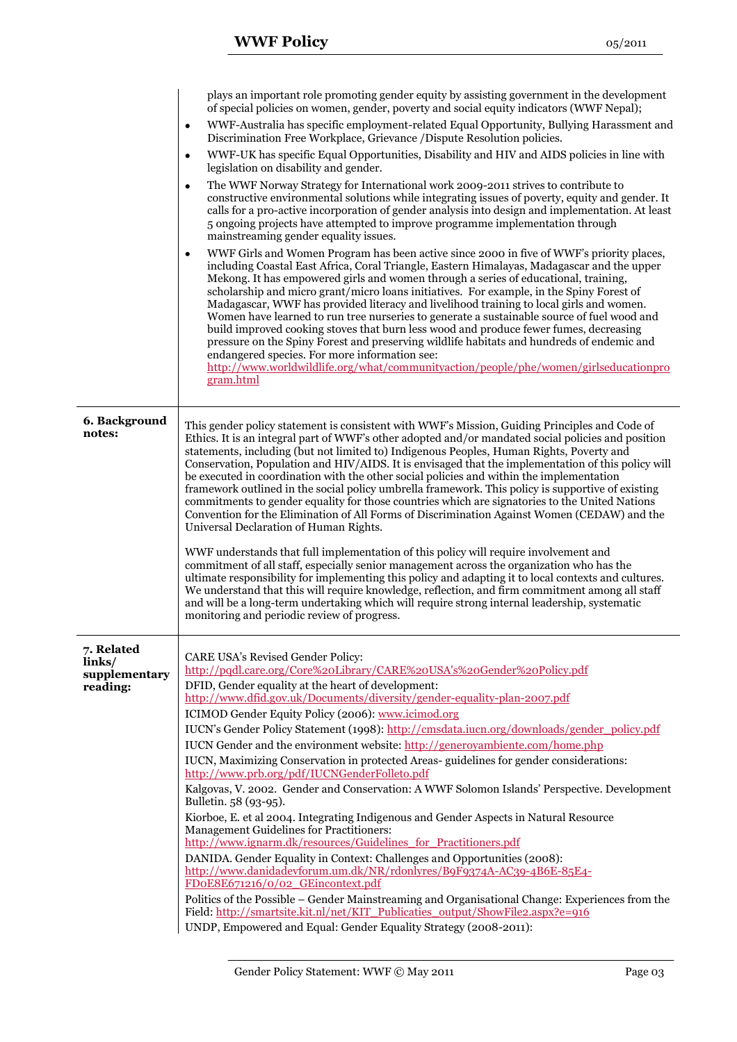|                           | plays an important role promoting gender equity by assisting government in the development<br>of special policies on women, gender, poverty and social equity indicators (WWF Nepal);                                                                                                                                                                                                                                                                                                                                                                                                                                                                                                                                                                                                                                                                                                                                       |
|---------------------------|-----------------------------------------------------------------------------------------------------------------------------------------------------------------------------------------------------------------------------------------------------------------------------------------------------------------------------------------------------------------------------------------------------------------------------------------------------------------------------------------------------------------------------------------------------------------------------------------------------------------------------------------------------------------------------------------------------------------------------------------------------------------------------------------------------------------------------------------------------------------------------------------------------------------------------|
|                           | WWF-Australia has specific employment-related Equal Opportunity, Bullying Harassment and<br>$\bullet$<br>Discrimination Free Workplace, Grievance / Dispute Resolution policies.                                                                                                                                                                                                                                                                                                                                                                                                                                                                                                                                                                                                                                                                                                                                            |
|                           | WWF-UK has specific Equal Opportunities, Disability and HIV and AIDS policies in line with<br>$\bullet$<br>legislation on disability and gender.                                                                                                                                                                                                                                                                                                                                                                                                                                                                                                                                                                                                                                                                                                                                                                            |
|                           | The WWF Norway Strategy for International work 2009-2011 strives to contribute to<br>$\bullet$<br>constructive environmental solutions while integrating issues of poverty, equity and gender. It<br>calls for a pro-active incorporation of gender analysis into design and implementation. At least<br>5 ongoing projects have attempted to improve programme implementation through<br>mainstreaming gender equality issues.                                                                                                                                                                                                                                                                                                                                                                                                                                                                                             |
|                           | WWF Girls and Women Program has been active since 2000 in five of WWF's priority places,<br>$\bullet$<br>including Coastal East Africa, Coral Triangle, Eastern Himalayas, Madagascar and the upper<br>Mekong. It has empowered girls and women through a series of educational, training,<br>scholarship and micro grant/micro loans initiatives. For example, in the Spiny Forest of<br>Madagascar, WWF has provided literacy and livelihood training to local girls and women.<br>Women have learned to run tree nurseries to generate a sustainable source of fuel wood and<br>build improved cooking stoves that burn less wood and produce fewer fumes, decreasing<br>pressure on the Spiny Forest and preserving wildlife habitats and hundreds of endemic and<br>endangered species. For more information see:<br>http://www.worldwildlife.org/what/communityaction/people/phe/women/girlseducationpro<br>gram.html |
| 6. Background<br>notes:   | This gender policy statement is consistent with WWF's Mission, Guiding Principles and Code of                                                                                                                                                                                                                                                                                                                                                                                                                                                                                                                                                                                                                                                                                                                                                                                                                               |
|                           | Ethics. It is an integral part of WWF's other adopted and/or mandated social policies and position<br>statements, including (but not limited to) Indigenous Peoples, Human Rights, Poverty and<br>Conservation, Population and HIV/AIDS. It is envisaged that the implementation of this policy will<br>be executed in coordination with the other social policies and within the implementation<br>framework outlined in the social policy umbrella framework. This policy is supportive of existing<br>commitments to gender equality for those countries which are signatories to the United Nations<br>Convention for the Elimination of All Forms of Discrimination Against Women (CEDAW) and the<br>Universal Declaration of Human Rights.                                                                                                                                                                            |
|                           | WWF understands that full implementation of this policy will require involvement and<br>commitment of all staff, especially senior management across the organization who has the<br>ultimate responsibility for implementing this policy and adapting it to local contexts and cultures.<br>We understand that this will require knowledge, reflection, and firm commitment among all staff<br>and will be a long-term undertaking which will require strong internal leadership, systematic<br>monitoring and periodic review of progress.                                                                                                                                                                                                                                                                                                                                                                                |
| 7. Related<br>links/      | <b>CARE USA's Revised Gender Policy:</b>                                                                                                                                                                                                                                                                                                                                                                                                                                                                                                                                                                                                                                                                                                                                                                                                                                                                                    |
| supplementary<br>reading: | http://pqdl.care.org/Core%20Library/CARE%20USA's%20Gender%20Policy.pdf<br>DFID, Gender equality at the heart of development:                                                                                                                                                                                                                                                                                                                                                                                                                                                                                                                                                                                                                                                                                                                                                                                                |
|                           | http://www.dfid.gov.uk/Documents/diversity/gender-equality-plan-2007.pdf                                                                                                                                                                                                                                                                                                                                                                                                                                                                                                                                                                                                                                                                                                                                                                                                                                                    |
|                           | ICIMOD Gender Equity Policy (2006): www.icimod.org<br>IUCN's Gender Policy Statement (1998): http://cmsdata.iucn.org/downloads/gender policy.pdf                                                                                                                                                                                                                                                                                                                                                                                                                                                                                                                                                                                                                                                                                                                                                                            |
|                           | IUCN Gender and the environment website: http://generoyambiente.com/home.php                                                                                                                                                                                                                                                                                                                                                                                                                                                                                                                                                                                                                                                                                                                                                                                                                                                |
|                           | IUCN, Maximizing Conservation in protected Areas- guidelines for gender considerations:<br>http://www.prb.org/pdf/IUCNGenderFolleto.pdf                                                                                                                                                                                                                                                                                                                                                                                                                                                                                                                                                                                                                                                                                                                                                                                     |
|                           | Kalgovas, V. 2002. Gender and Conservation: A WWF Solomon Islands' Perspective. Development<br>Bulletin. 58 (93-95).                                                                                                                                                                                                                                                                                                                                                                                                                                                                                                                                                                                                                                                                                                                                                                                                        |
|                           | Kiorboe, E. et al 2004. Integrating Indigenous and Gender Aspects in Natural Resource<br><b>Management Guidelines for Practitioners:</b>                                                                                                                                                                                                                                                                                                                                                                                                                                                                                                                                                                                                                                                                                                                                                                                    |
|                           | http://www.ignarm.dk/resources/Guidelines for Practitioners.pdf<br>DANIDA. Gender Equality in Context: Challenges and Opportunities (2008):                                                                                                                                                                                                                                                                                                                                                                                                                                                                                                                                                                                                                                                                                                                                                                                 |
|                           | http://www.danidadevforum.um.dk/NR/rdonlyres/B9F9374A-AC39-4B6E-85E4-<br>FDoE8E671216/0/02 GEincontext.pdf                                                                                                                                                                                                                                                                                                                                                                                                                                                                                                                                                                                                                                                                                                                                                                                                                  |
|                           | Politics of the Possible – Gender Mainstreaming and Organisational Change: Experiences from the<br>Field: http://smartsite.kit.nl/net/KIT_Publicaties_output/ShowFile2.aspx?e=916<br>UNDP, Empowered and Equal: Gender Equality Strategy (2008-2011):                                                                                                                                                                                                                                                                                                                                                                                                                                                                                                                                                                                                                                                                       |